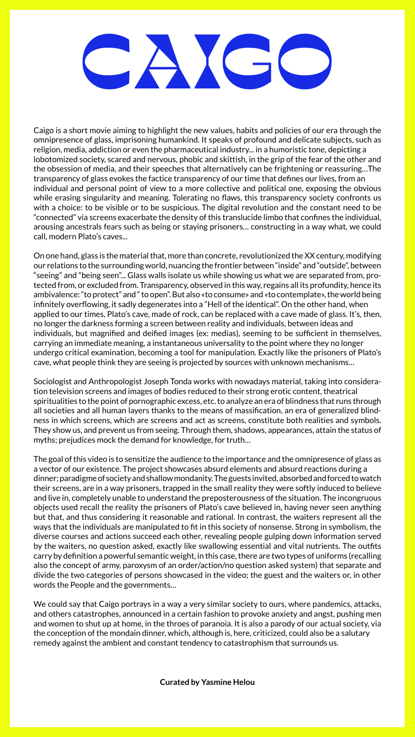# CAIGO

Caigo is a short movie aiming to highlight the new values, habits and policies of our era through the omnipresence of glass, imprisoning humankind. It speaks of profound and delicate subjects, such as religion, media, addiction or even the pharmaceutical industry... in a humoristic tone, depicting a lobotomized society, scared and nervous, phobic and skittish, in the grip of the fear of the other and the obsession of media, and their speeches that alternatively can be frightening or reassuring…The transparency of glass evokes the factice transparency of our time that defines our lives, from an individual and personal point of view to a more collective and political one, exposing the obvious while erasing singularity and meaning. Tolerating no flaws, this transparency society confronts us with a choice: to be visible or to be suspicious. The digital revolution and the constant need to be "connected" via screens exacerbate the density of this translucide limbo that confines the individual, arousing ancestrals fears such as being or staying prisoners… constructing in a way what, we could call, modern Plato's caves...

On one hand, glass is the material that, more than concrete, revolutionized the XX century, modifying our relations to the surrounding world, nuancing the frontier between "inside" and "outside", between "seeing" and "being seen"... Glass walls isolate us while showing us what we are separated from, protected from, or excluded from. Transparency, observed in this way, regains all its profundity, hence its ambivalence: "to protect" and " to open". But also «to consume» and «to contemplate», the world being infinitely overflowing, it sadly degenerates into a "Hell of the identical". On the other hand, when applied to our times, Plato's cave, made of rock, can be replaced with a cave made of glass. It's, then, no longer the darkness forming a screen between reality and individuals, between ideas and individuals, but magnified and deified images (ex: medias), seeming to be sufficient in themselves, carrying an immediate meaning, a instantaneous universality to the point where they no longer undergo critical examination, becoming a tool for manipulation. Exactly like the prisoners of Plato's cave, what people think they are seeing is projected by sources with unknown mechanisms…

Sociologist and Anthropologist Joseph Tonda works with nowadays material, taking into consideration television screens and images of bodies reduced to their strong erotic content, theatrical spiritualities to the point of pornographic excess, etc. to analyze an era of blindness that runs through all societies and all human layers thanks to the means of massification, an era of generalized blindness in which screens, which are screens and act as screens, constitute both realities and symbols. They show us, and prevent us from seeing. Through them, shadows, appearances, attain the status of myths; prejudices mock the demand for knowledge, for truth…

The goal of this video is to sensitize the audience to the importance and the omnipresence of glass as a vector of our existence. The project showcases absurd elements and absurd reactions during a dinner; paradigme of society and shallow mondanity. The guests invited, absorbed and forced to watch their screens, are in a way prisoners, trapped in the small reality they were softly induced to believe and live in, completely unable to understand the preposterousness of the situation. The incongruous objects used recall the reality the prisoners of Plato's cave believed in, having never seen anything but that, and thus considering it reasonable and rational. In contrast, the waiters represent all the ways that the individuals are manipulated to fit in this society of nonsense. Strong in symbolism, the diverse courses and actions succeed each other, revealing people gulping down information served by the waiters, no question asked, exactly like swallowing essential and vital nutrients. The outfits carry by definition a powerful semantic weight, in this case, there are two types of uniforms (recalling also the concept of army, paroxysm of an order/action/no question asked system) that separate and divide the two categories of persons showcased in the video; the guest and the waiters or, in other words the People and the governments…

We could say that Caigo portrays in a way a very similar society to ours, where pandemics, attacks, and others catastrophes, announced in a certain fashion to provoke anxiety and angst, pushing men and women to shut up at home, in the throes of paranoia. It is also a parody of our actual society, via the conception of the mondain dinner, which, although is, here, criticized, could also be a salutary remedy against the ambient and constant tendency to catastrophism that surrounds us.